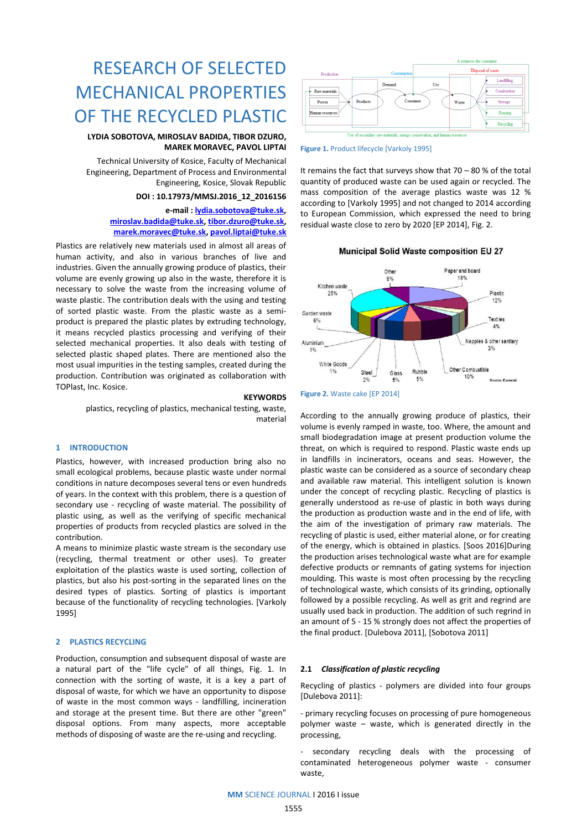

**Figure 1.** Product lifecycle [Varkoly 1995]

It remains the fact that surveys show that  $70 - 80$  % of the total quantity of produced waste can be used again or recycled. The mass composition of the average plastics waste was 12 % according to [Varkoly 1995] and not changed to 2014 according to European Commission, which expressed the need to bring residual waste close to zero by 2020 [EP 2014], Fig. 2.

**Municipal Solid Waste composition EU 27** 



# **KEYWORDS**

plastics, recycling of plastics, mechanical testing, waste, material

RESEARCH OF SELECTED

MECHANICAL PROPERTIES

OF THE RECYCLED PLASTIC

**LYDIA SOBOTOVA, MIROSLAV BADIDA, TIBOR DZURO,** 

Technical University of Kosice, Faculty of Mechanical Engineering, Department of Process and Environmental

> **[miroslav.badida@tuke.sk,](mailto:miroslav.badida@tuke.sk) [tibor.dzuro@tuke.sk,](mailto:tibor.dzuro@tuke.sk) [marek.moravec@tuke.sk,](mailto:marek.moravec@tuke.sk) [pavol.liptai@tuke.sk](mailto:pavol.liptai@tuke.sk)**

Plastics are relatively new materials used in almost all areas of human activity, and also in various branches of live and industries. Given the annually growing produce of plastics, their volume are evenly growing up also in the waste, therefore it is necessary to solve the waste from the increasing volume of waste plastic. The contribution deals with the using and testing of sorted plastic waste. From the plastic waste as a semiproduct is prepared the plastic plates by extruding technology, it means recycled plastics processing and verifying of their selected mechanical properties. It also deals with testing of selected plastic shaped plates. There are mentioned also the most usual impurities in the testing samples, created during the production. Contribution was originated as collaboration with

**MAREK MORAVEC, PAVOL LIPTAI**

Engineering, Kosice, Slovak Republic **DOI : 10.17973/MMSJ.2016\_12\_2016156 e-mail : [lydia.sobotova@tuke.sk,](mailto:lydia.sobotova@tuke.sk)** 

#### **1 INTRODUCTION**

TOPlast, Inc. Kosice.

Plastics, however, with increased production bring also no small ecological problems, because plastic waste under normal conditions in nature decomposes several tens or even hundreds of years. In the context with this problem, there is a question of secondary use - recycling of waste material. The possibility of plastic using, as well as the verifying of specific mechanical properties of products from recycled plastics are solved in the contribution.

A means to minimize plastic waste stream is the secondary use (recycling, thermal treatment or other uses). To greater exploitation of the plastics waste is used sorting, collection of plastics, but also his post-sorting in the separated lines on the desired types of plastics. Sorting of plastics is important because of the functionality of recycling technologies. [Varkoly 1995]

## **2 PLASTICS RECYCLING**

Production, consumption and subsequent disposal of waste are a natural part of the "life cycle" of all things, Fig. 1. In connection with the sorting of waste, it is a key a part of disposal of waste, for which we have an opportunity to dispose of waste in the most common ways - landfilling, incineration and storage at the present time. But there are other "green" disposal options. From many aspects, more acceptable methods of disposing of waste are the re-using and recycling.

# **Figure 2.** Waste cake [EP 2014]

According to the annually growing produce of plastics, their volume is evenly ramped in waste, too. Where, the amount and small biodegradation image at present production volume the threat, on which is required to respond. Plastic waste ends up in landfills in incinerators, oceans and seas. However, the plastic waste can be considered as a source of secondary cheap and available raw material. This intelligent solution is known under the concept of recycling plastic. Recycling of plastics is generally understood as re-use of plastic in both ways during the production as production waste and in the end of life, with the aim of the investigation of primary raw materials. The recycling of plastic is used, either material alone, or for creating of the energy, which is obtained in plastics. [Soos 2016]During the production arises technological waste what are for example defective products or remnants of gating systems for injection moulding. This waste is most often processing by the recycling of technological waste, which consists of its grinding, optionally followed by a possible recycling. As well as grit and regrind are usually used back in production. The addition of such regrind in an amount of 5 - 15 % strongly does not affect the properties of the final product. [Dulebova 2011], [Sobotova 2011]

#### **2.1** *Classification of plastic recycling*

Recycling of plastics - polymers are divided into four groups [Dulebova 2011]:

- primary recycling focuses on processing of pure homogeneous polymer waste – waste, which is generated directly in the processing,

secondary recycling deals with the processing of contaminated heterogeneous polymer waste - consumer waste,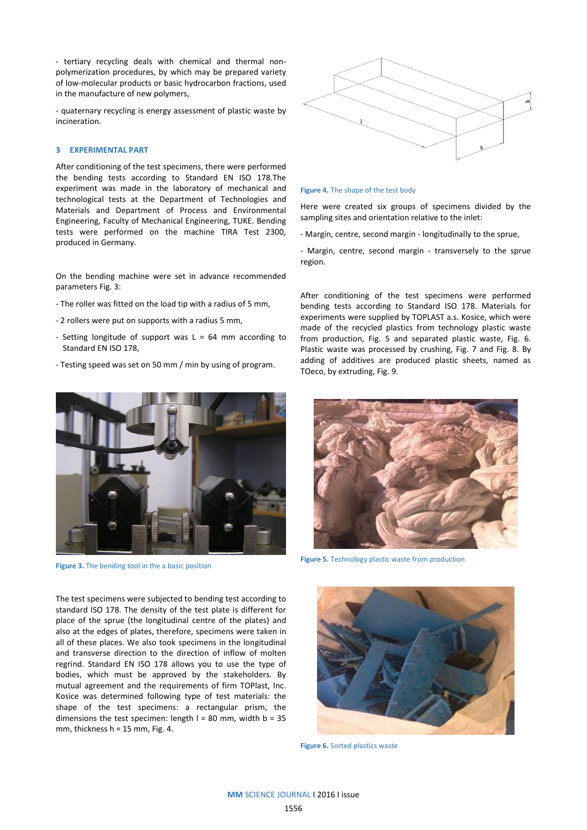- tertiary recycling deals with chemical and thermal nonpolymerization procedures, by which may be prepared variety of low-molecular products or basic hydrocarbon fractions, used in the manufacture of new polymers,

- quaternary recycling is energy assessment of plastic waste by incineration.

# **3 EXPERIMENTAL PART**

After conditioning of the test specimens, there were performed the bending tests according to Standard EN ISO 178.The experiment was made in the laboratory of mechanical and technological tests at the Department of Technologies and Materials and Department of Process and Environmental Engineering, Faculty of Mechanical Engineering, TUKE. Bending tests were performed on the machine TIRA Test 2300, produced in Germany.

On the bending machine were set in advance recommended parameters Fig. 3:

- The roller was fitted on the load tip with a radius of 5 mm,
- 2 rollers were put on supports with a radius 5 mm,
- Setting longitude of support was  $L = 64$  mm according to Standard EN ISO 178,
- Testing speed was set on 50 mm / min by using of program.



**Figure 3.** The bending tool in the a basic position

The test specimens were subjected to bending test according to standard ISO 178. The density of the test plate is different for place of the sprue (the longitudinal centre of the plates) and also at the edges of plates, therefore, specimens were taken in all of these places. We also took specimens in the longitudinal and transverse direction to the direction of inflow of molten regrind. Standard EN ISO 178 allows you to use the type of bodies, which must be approved by the stakeholders. By mutual agreement and the requirements of firm TOPlast, Inc. Kosice was determined following type of test materials: the shape of the test specimens: a rectangular prism, the dimensions the test specimen: length  $l = 80$  mm, width  $b = 35$ mm, thickness  $h = 15$  mm, Fig. 4.



#### **Figure 4.** The shape of the test body

Here were created six groups of specimens divided by the sampling sites and orientation relative to the inlet:

- Margin, centre, second margin - longitudinally to the sprue,

- Margin, centre, second margin - transversely to the sprue region.

After conditioning of the test specimens were performed bending tests according to Standard ISO 178. Materials for experiments were supplied by TOPLAST a.s. Kosice, which were made of the recycled plastics from technology plastic waste from production, Fig. 5 and separated plastic waste, Fig. 6. Plastic waste was processed by crushing, Fig. 7 and Fig. 8. By adding of additives are produced plastic sheets, named as TOeco, by extruding, Fig. 9.



**Figure 5.** Technology plastic waste from production



**Figure 6.** Sorted plastics waste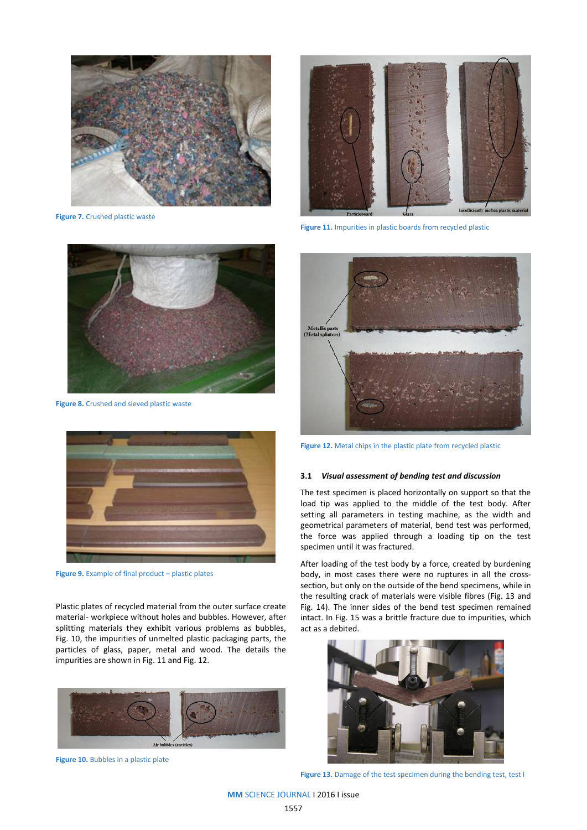

**Figure 7.** Crushed plastic waste



**Figure 8.** Crushed and sieved plastic waste



**Figure 9.** Example of final product – plastic plates

Plastic plates of recycled material from the outer surface create material- workpiece without holes and bubbles. However, after splitting materials they exhibit various problems as bubbles, Fig. 10, the impurities of unmelted plastic packaging parts, the particles of glass, paper, metal and wood. The details the impurities are shown in Fig. 11 and Fig. 12.



**Figure 10.** Bubbles in a plastic plate



**Figure 11.** Impurities in plastic boards from recycled plastic



**Figure 12.** Metal chips in the plastic plate from recycled plastic

#### **3.1** *Visual assessment of bending test and discussion*

The test specimen is placed horizontally on support so that the load tip was applied to the middle of the test body. After setting all parameters in testing machine, as the width and geometrical parameters of material, bend test was performed, the force was applied through a loading tip on the test specimen until it was fractured.

After loading of the test body by a force, created by burdening body, in most cases there were no ruptures in all the crosssection, but only on the outside of the bend specimens, while in the resulting crack of materials were visible fibres (Fig. 13 and Fig. 14). The inner sides of the bend test specimen remained intact. In Fig. 15 was a brittle fracture due to impurities, which act as a debited.



**Figure 13.** Damage of the test specimen during the bending test, test I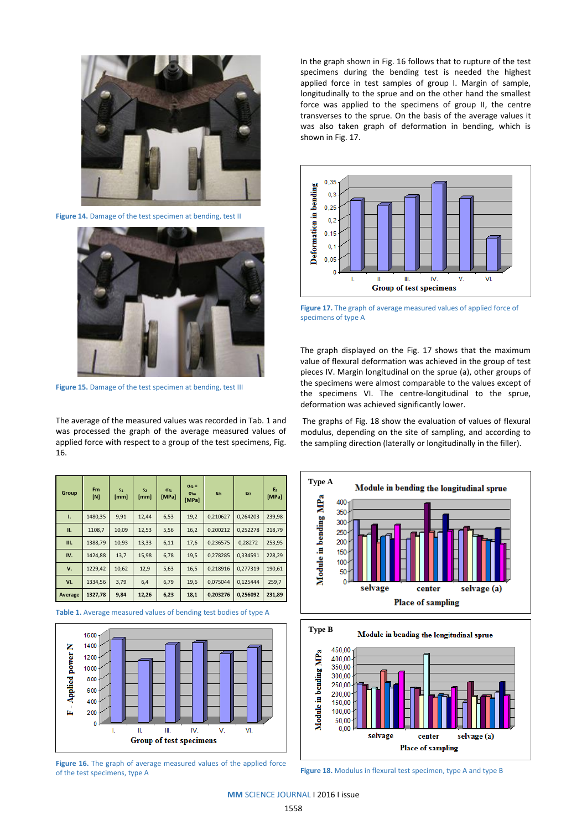

**Figure 14.** Damage of the test specimen at bending, test II



**Figure 15.** Damage of the test specimen at bending, test III

The average of the measured values was recorded in Tab. 1 and was processed the graph of the average measured values of applied force with respect to a group of the test specimens, Fig. 16.

| Group   | F <sub>m</sub><br>[N] | S <sub>1</sub><br>[mm] | S <sub>2</sub><br>[mm] | Of1<br>[MPa] | $\sigma_{f2}$ =<br>$\sigma_{\rm fm}$<br>[MPa] | Ef1      | Ef2      | Ef<br>[MPa] |
|---------|-----------------------|------------------------|------------------------|--------------|-----------------------------------------------|----------|----------|-------------|
| т.      | 1480,35               | 9,91                   | 12,44                  | 6,53         | 19,2                                          | 0.210627 | 0,264203 | 239,98      |
| п.      | 1108,7                | 10,09                  | 12,53                  | 5,56         | 16,2                                          | 0.200212 | 0,252278 | 218,79      |
| Ш.      | 1388.79               | 10,93                  | 13,33                  | 6,11         | 17,6                                          | 0.236575 | 0.28272  | 253,95      |
| IV.     | 1424,88               | 13,7                   | 15,98                  | 6,78         | 19,5                                          | 0.278285 | 0,334591 | 228,29      |
| v.      | 1229,42               | 10,62                  | 12,9                   | 5,63         | 16,5                                          | 0,218916 | 0.277319 | 190.61      |
| VI.     | 1334,56               | 3,79                   | 6,4                    | 6,79         | 19,6                                          | 0.075044 | 0.125444 | 259,7       |
| Average | 1327,78               | 9,84                   | 12,26                  | 6,23         | 18,1                                          | 0.203276 | 0,256092 | 231,89      |

**Table 1.** Average measured values of bending test bodies of type A



**Figure 16.** The graph of average measured values of the applied force of the test specimens, type A

In the graph shown in Fig. 16 follows that to rupture of the test specimens during the bending test is needed the highest applied force in test samples of group I. Margin of sample, longitudinally to the sprue and on the other hand the smallest force was applied to the specimens of group II, the centre transverses to the sprue. On the basis of the average values it was also taken graph of deformation in bending, which is shown in Fig. 17.



**Figure 17.** The graph of average measured values of applied force of specimens of type A

The graph displayed on the Fig. 17 shows that the maximum value of flexural deformation was achieved in the group of test pieces IV. Margin longitudinal on the sprue (a), other groups of the specimens were almost comparable to the values except of the specimens VI. The centre-longitudinal to the sprue, deformation was achieved significantly lower.

The graphs of Fig. 18 show the evaluation of values of flexural modulus, depending on the site of sampling, and according to the sampling direction (laterally or longitudinally in the filler).





**Figure 18.** Modulus in flexural test specimen, type A and type B